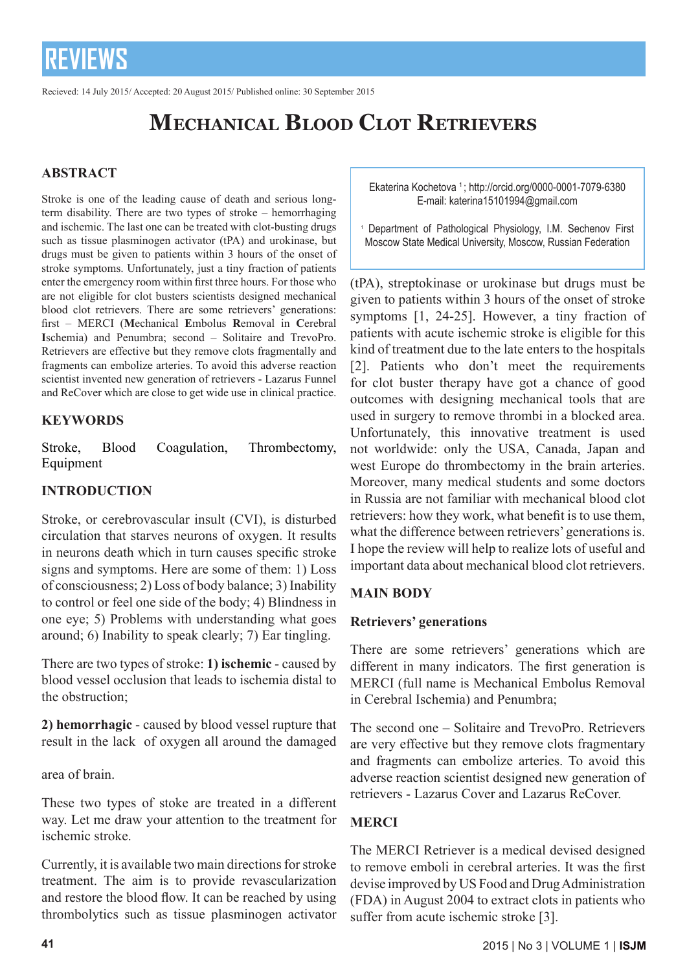Recieved: 14 July 2015/ Accepted: 20 August 2015/ Published online: 30 September 2015

## **Mechanical Blood Clot Retrievers**

### **ABSTRACT**

Stroke is one of the leading cause of death and serious longterm disability. There are two types of stroke – hemorrhaging and ischemic. The last one can be treated with clot-busting drugs such as tissue plasminogen activator (tPA) and urokinase, but drugs must be given to patients within 3 hours of the onset of stroke symptoms. Unfortunately, just a tiny fraction of patients enter the emergency room within first three hours. For those who are not eligible for clot busters scientists designed mechanical blood clot retrievers. There are some retrievers' generations: first – MERCI (**M**echanical **E**mbolus **R**emoval in **C**erebral **I**schemia) and Penumbra; second – Solitaire and TrevoPro. Retrievers are effective but they remove clots fragmentally and fragments can embolize arteries. To avoid this adverse reaction scientist invented new generation of retrievers - Lazarus Funnel and ReCover which are close to get wide use in clinical practice.

### **KEYWORDS**

Stroke, Blood Coagulation, Thrombectomy, Equipment

### **INTRODUCTION**

Stroke, or cerebrovascular insult (CVI), is disturbed circulation that starves neurons of oxygen. It results in neurons death which in turn causes specific stroke signs and symptoms. Here are some of them: 1) Loss of consciousness; 2) Loss of body balance; 3) Inability to control or feel one side of the body; 4) Blindness in one eye; 5) Problems with understanding what goes around; 6) Inability to speak clearly; 7) Ear tingling.

There are two types of stroke: **1) ischemic** - caused by blood vessel occlusion that leads to ischemia distal to the obstruction;

**2) hemorrhagic** - caused by blood vessel rupture that result in the lack of oxygen all around the damaged

area of brain.

These two types of stoke are treated in a different way. Let me draw your attention to the treatment for ischemic stroke.

Currently, it is available two main directions for stroke treatment. The aim is to provide revascularization and restore the blood flow. It can be reached by using thrombolytics such as tissue plasminogen activator Ekaterina Kochetova 1 ; http://orcid.org/0000-0001-7079-6380 E-mail: katerina15101994@gmail.com

1 Department of Pathological Physiology, I.M. Sechenov First Moscow State Medical University, Moscow, Russian Federation

(tPA), streptokinase or urokinase but drugs must be given to patients within 3 hours of the onset of stroke symptoms [1, 24-25]. However, a tiny fraction of patients with acute ischemic stroke is eligible for this kind of treatment due to the late enters to the hospitals [2]. Patients who don't meet the requirements for clot buster therapy have got a chance of good outcomes with designing mechanical tools that are used in surgery to remove thrombi in a blocked area. Unfortunately, this innovative treatment is used not worldwide: only the USA, Canada, Japan and west Europe do thrombectomy in the brain arteries. Moreover, many medical students and some doctors in Russia are not familiar with mechanical blood clot retrievers: how they work, what benefit is to use them, what the difference between retrievers' generations is. I hope the review will help to realize lots of useful and important data about mechanical blood clot retrievers.

### **MAIN BODY**

### **Retrievers' generations**

There are some retrievers' generations which are different in many indicators. The first generation is MERCI (full name is Mechanical Embolus Removal in Cerebral Ischemia) and Penumbra;

The second one – Solitaire and TrevoPro. Retrievers are very effective but they remove clots fragmentary and fragments can embolize arteries. To avoid this adverse reaction scientist designed new generation of retrievers - Lazarus Cover and Lazarus ReCover.

### **MERCI**

The MERCI Retriever is a medical devised designed to remove emboli in cerebral arteries. It was the first devise improved by US Food and Drug Administration (FDA) in August 2004 to extract clots in patients who suffer from acute ischemic stroke [3].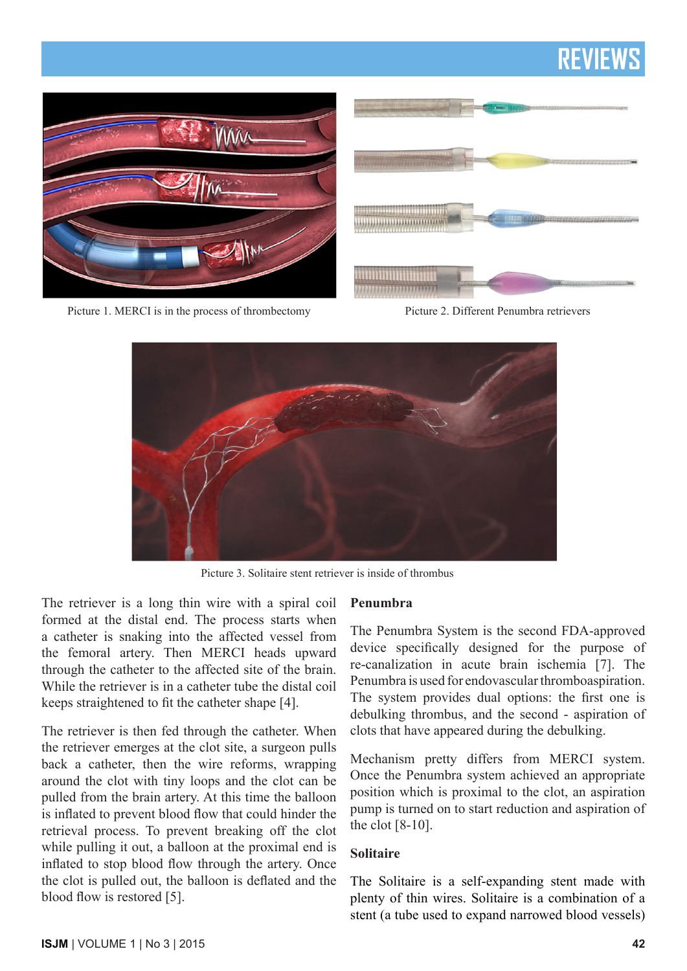

Picture 1. MERCI is in the process of thrombectomy Picture 2. Different Penumbra retrievers



Picture 3. Solitaire stent retriever is inside of thrombus

The retriever is a long thin wire with a spiral coil formed at the distal end. The process starts when a catheter is snaking into the affected vessel from the femoral artery. Then MERCI heads upward through the catheter to the affected site of the brain. While the retriever is in a catheter tube the distal coil keeps straightened to fit the catheter shape [4].

The retriever is then fed through the catheter. When the retriever emerges at the clot site, a surgeon pulls back a catheter, then the wire reforms, wrapping around the clot with tiny loops and the clot can be pulled from the brain artery. At this time the balloon is inflated to prevent blood flow that could hinder the retrieval process. To prevent breaking off the clot while pulling it out, a balloon at the proximal end is inflated to stop blood flow through the artery. Once the clot is pulled out, the balloon is deflated and the blood flow is restored [5].

### **Penumbra**

The Penumbra System is the second FDA-approved device specifically designed for the purpose of re-canalization in acute brain ischemia [7]. The Penumbra is used for endovascular thromboaspiration. The system provides dual options: the first one is debulking thrombus, and the second - aspiration of clots that have appeared during the debulking.

Mechanism pretty differs from MERCI system. Once the Penumbra system achieved an appropriate position which is proximal to the clot, an aspiration pump is turned on to start reduction and aspiration of the clot [8-10].

#### **Solitaire**

The Solitaire is a self-expanding stent made with plenty of thin wires. Solitaire is a combination of a stent (a tube used to expand narrowed blood vessels)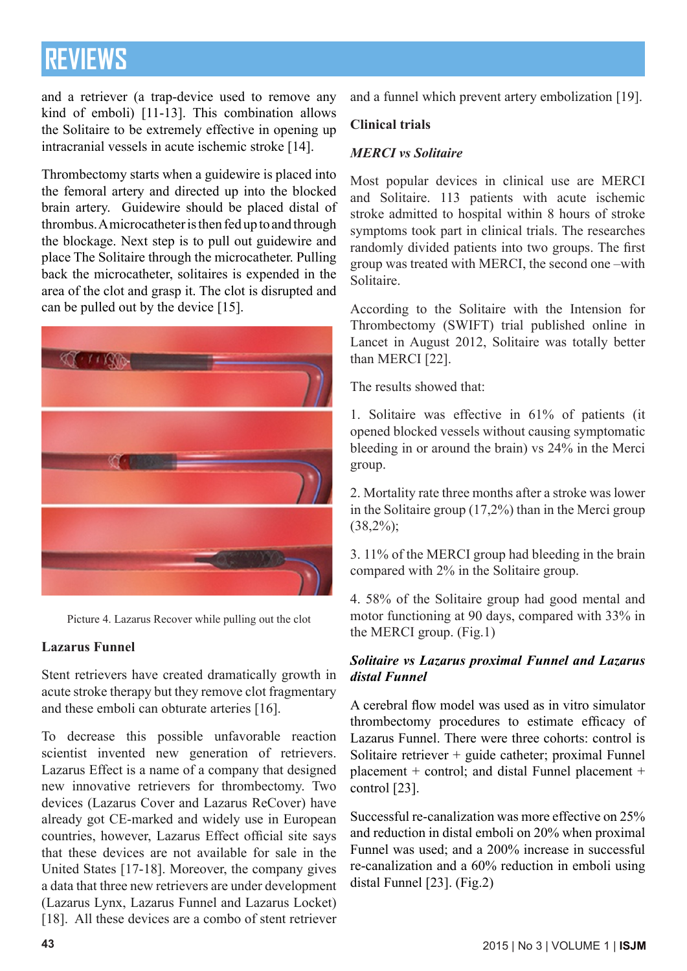and a retriever (a trap-device used to remove any kind of emboli) [11-13]. This combination allows the Solitaire to be extremely effective in opening up intracranial vessels in acute ischemic stroke [14].

Thrombectomy starts when a guidewire is placed into the femoral artery and directed up into the blocked brain artery. Guidewire should be placed distal of thrombus. A microcatheter is then fed up to and through the blockage. Next step is to pull out guidewire and place The Solitaire through the microcatheter. Pulling back the microcatheter, solitaires is expended in the area of the clot and grasp it. The clot is disrupted and can be pulled out by the device [15].



Picture 4. Lazarus Recover while pulling out the clot

### **Lazarus Funnel**

Stent retrievers have created dramatically growth in acute stroke therapy but they remove clot fragmentary and these emboli can obturate arteries [16].

To decrease this possible unfavorable reaction scientist invented new generation of retrievers. Lazarus Effect is a name of a company that designed new innovative retrievers for thrombectomy. Two devices (Lazarus Cover and Lazarus ReCover) have already got CE-marked and widely use in European countries, however, Lazarus Effect official site says that these devices are not available for sale in the United States [17-18]. Moreover, the company gives a data that three new retrievers are under development (Lazarus Lynx, Lazarus Funnel and Lazarus Locket) [18]. All these devices are a combo of stent retriever and a funnel which prevent artery embolization [19].

### **Clinical trials**

### *MERCI vs Solitaire*

Most popular devices in clinical use are MERCI and Solitaire. 113 patients with acute ischemic stroke admitted to hospital within 8 hours of stroke symptoms took part in clinical trials. The researches randomly divided patients into two groups. The first group was treated with MERCI, the second one –with Solitaire.

According to the Solitaire with the Intension for Thrombectomy (SWIFT) trial published online in Lancet in August 2012, Solitaire was totally better than MERCI [22].

The results showed that:

1. Solitaire was effective in 61% of patients (it opened blocked vessels without causing symptomatic bleeding in or around the brain) vs 24% in the Merci group.

2. Mortality rate three months after a stroke was lower in the Solitaire group (17,2%) than in the Merci group  $(38,2\%)$ ;

3. 11% of the MERCI group had bleeding in the brain compared with 2% in the Solitaire group.

4. 58% of the Solitaire group had good mental and motor functioning at 90 days, compared with 33% in the MERCI group. (Fig.1)

### *Solitaire vs Lazarus proximal Funnel and Lazarus distal Funnel*

A cerebral flow model was used as in vitro simulator thrombectomy procedures to estimate efficacy of Lazarus Funnel. There were three cohorts: control is Solitaire retriever + guide catheter; proximal Funnel placement + control; and distal Funnel placement + control [23].

Successful re-canalization was more effective on 25% and reduction in distal emboli on 20% when proximal Funnel was used; and a 200% increase in successful re-canalization and a 60% reduction in emboli using distal Funnel [23]. (Fig.2)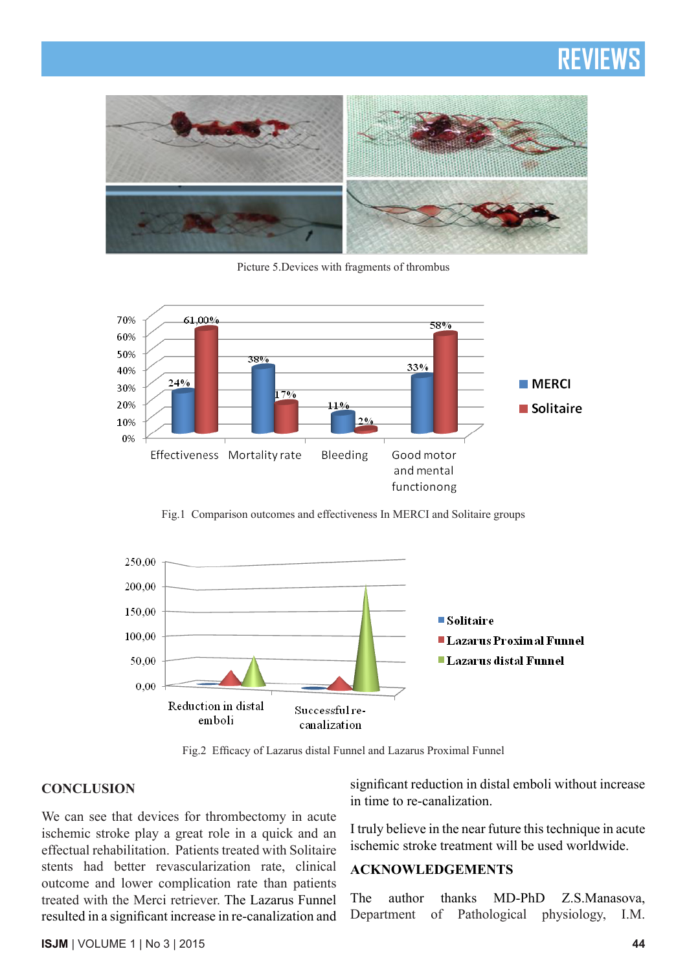

Picture 5.Devices with fragments of thrombus



Fig.1 Comparison outcomes and effectiveness In MERCI and Solitaire groups



Fig.2 Efficacy of Lazarus distal Funnel and Lazarus Proximal Funnel

#### **CONCLUSION**

We can see that devices for thrombectomy in acute ischemic stroke play a great role in a quick and an effectual rehabilitation. Patients treated with Solitaire stents had better revascularization rate, clinical outcome and lower complication rate than patients treated with the Merci retriever. The Lazarus Funnel resulted in a significant increase in re-canalization and significant reduction in distal emboli without increase in time to re-canalization.

I truly believe in the near future this technique in acute ischemic stroke treatment will be used worldwide.

#### **ACKNOWLEDGEMENTS**

The author thanks MD-PhD Z.S.Manasova, Department of Pathological physiology, I.M.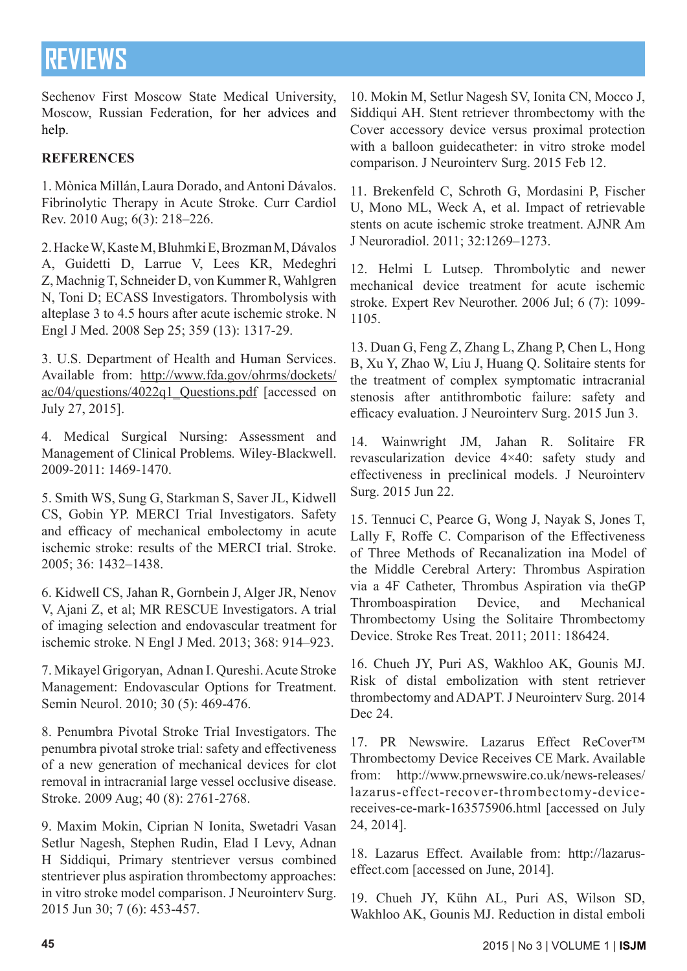Sechenov First Moscow State Medical University, Moscow, Russian Federation, for her advices and help.

### **REFERENCES**

1. Mònica Millán, Laura Dorado, and Antoni Dávalos. Fibrinolytic Therapy in Acute Stroke. Curr Cardiol Rev. 2010 Aug; 6(3): 218–226.

2. Hacke W, Kaste M, Bluhmki E, Brozman M, Dávalos A, Guidetti D, Larrue V, Lees KR, Medeghri Z, Machnig T, Schneider D, von Kummer R, Wahlgren N, Toni D; ECASS Investigators. Thrombolysis with alteplase 3 to 4.5 hours after acute ischemic stroke. N Engl J Med. 2008 Sep 25; 359 (13): 1317-29.

3. U.S. Department of Health and Human Services. Available from: http://www.fda.gov/ohrms/dockets/ ac/04/questions/4022q1\_Questions.pdf [accessed on July 27, 2015].

4. Medical Surgical Nursing: Assessment and Management of Clinical Problems*.* Wiley-Blackwell. 2009-2011: 1469-1470.

5. Smith WS, Sung G, Starkman S, Saver JL, Kidwell CS, Gobin YP. MERCI Trial Investigators. Safety and efficacy of mechanical embolectomy in acute ischemic stroke: results of the MERCI trial. Stroke. 2005; 36: 1432–1438.

6. Kidwell CS, Jahan R, Gornbein J, Alger JR, Nenov V, Ajani Z, et al; MR RESCUE Investigators. A trial of imaging selection and endovascular treatment for ischemic stroke. N Engl J Med. 2013; 368: 914–923.

7. Mikayel Grigoryan, Adnan I. Qureshi. Acute Stroke Management: Endovascular Options for Treatment. Semin Neurol. 2010; 30 (5): 469-476.

8. Penumbra Pivotal Stroke Trial Investigators. The penumbra pivotal stroke trial: safety and effectiveness of a new generation of mechanical devices for clot removal in intracranial large vessel occlusive disease. Stroke. 2009 Aug; 40 (8): 2761-2768.

9. Maxim Mokin, Ciprian N Ionita, Swetadri Vasan Setlur Nagesh, Stephen Rudin, Elad I Levy, Adnan H Siddiqui, Primary stentriever versus combined stentriever plus aspiration thrombectomy approaches: in vitro stroke model comparison. J Neurointerv Surg. 2015 Jun 30; 7 (6): 453-457.

10. Mokin M, Setlur Nagesh SV, Ionita CN, Mocco J, Siddiqui AH. Stent retriever thrombectomy with the Cover accessory device versus proximal protection with a balloon guidecatheter: in vitro stroke model comparison. J Neurointerv Surg. 2015 Feb 12.

11. Brekenfeld C, Schroth G, Mordasini P, Fischer U, Mono ML, Weck A, et al. Impact of retrievable stents on acute ischemic stroke treatment. AJNR Am J Neuroradiol. 2011; 32:1269–1273.

12. Helmi L Lutsep. Thrombolytic and newer mechanical device treatment for acute ischemic stroke. Expert Rev Neurother. 2006 Jul; 6 (7): 1099- 1105.

13. Duan G, Feng Z, Zhang L, Zhang P, Chen L, Hong B, Xu Y, Zhao W, Liu J, Huang Q. Solitaire stents for the treatment of complex symptomatic intracranial stenosis after antithrombotic failure: safety and efficacy evaluation. J Neurointerv Surg. 2015 Jun 3.

14. Wainwright JM, Jahan R. Solitaire FR revascularization device 4×40: safety study and effectiveness in preclinical models. J Neurointerv Surg. 2015 Jun 22.

15. Tennuci C, Pearce G, Wong J, Nayak S, Jones T, Lally F, Roffe C. Comparison of the Effectiveness of Three Methods of Recanalization ina Model of the Middle Cerebral Artery: Thrombus Aspiration via a 4F Catheter, Thrombus Aspiration via theGP Thromboaspiration Device, and Mechanical Thrombectomy Using the Solitaire Thrombectomy Device. Stroke Res Treat. 2011; 2011: 186424.

16. Chueh JY, Puri AS, Wakhloo AK, Gounis MJ. Risk of distal embolization with stent retriever thrombectomy and ADAPT. J Neurointerv Surg. 2014 Dec 24.

17. PR Newswire. Lazarus Effect ReCover™ Thrombectomy Device Receives CE Mark. Available from: http://www.prnewswire.co.uk/news-releases/ lazarus-effect-recover-thrombectomy-devicereceives-ce-mark-163575906.html [accessed on July 24, 2014].

18. Lazarus Effect. Available from: http://lazaruseffect.com [accessed on June, 2014].

19. Chueh JY, Kühn AL, Puri AS, Wilson SD, Wakhloo AK, Gounis MJ. Reduction in distal emboli